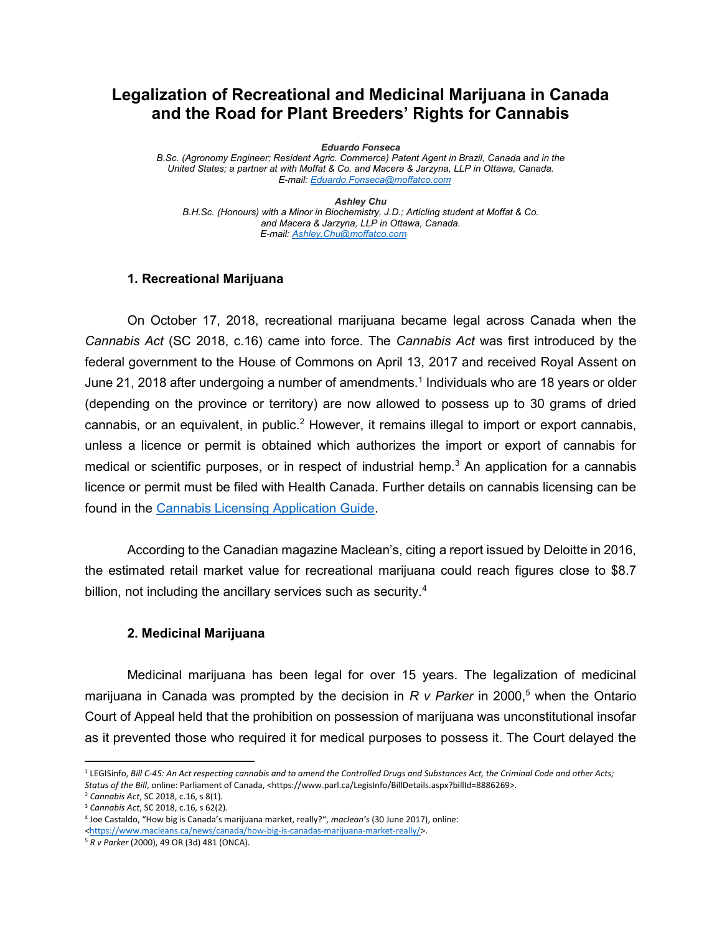# Legalization of Recreational and Medicinal Marijuana in Canada and the Road for Plant Breeders' Rights for Cannabis

Eduardo Fonseca

B.Sc. (Agronomy Engineer; Resident Agric. Commerce) Patent Agent in Brazil, Canada and in the United States; a partner at with Moffat & Co. and Macera & Jarzyna, LLP in Ottawa, Canada. E-mail: Eduardo.Fonseca@moffatco.com

Ashley Chu B.H.Sc. (Honours) with a Minor in Biochemistry, J.D.; Articling student at Moffat & Co. and Macera & Jarzyna, LLP in Ottawa, Canada. E-mail: Ashley.Chu@moffatco.com

### 1. Recreational Marijuana

On October 17, 2018, recreational marijuana became legal across Canada when the Cannabis Act (SC 2018, c.16) came into force. The Cannabis Act was first introduced by the federal government to the House of Commons on April 13, 2017 and received Royal Assent on June 21, 2018 after undergoing a number of amendments.<sup>1</sup> Individuals who are 18 years or older (depending on the province or territory) are now allowed to possess up to 30 grams of dried cannabis, or an equivalent, in public.<sup>2</sup> However, it remains illegal to import or export cannabis, unless a licence or permit is obtained which authorizes the import or export of cannabis for medical or scientific purposes, or in respect of industrial hemp.<sup>3</sup> An application for a cannabis licence or permit must be filed with Health Canada. Further details on cannabis licensing can be found in the Cannabis Licensing Application Guide.

According to the Canadian magazine Maclean's, citing a report issued by Deloitte in 2016, the estimated retail market value for recreational marijuana could reach figures close to \$8.7 billion, not including the ancillary services such as security.<sup>4</sup>

#### 2. Medicinal Marijuana

Medicinal marijuana has been legal for over 15 years. The legalization of medicinal marijuana in Canada was prompted by the decision in R v Parker in 2000,<sup>5</sup> when the Ontario Court of Appeal held that the prohibition on possession of marijuana was unconstitutional insofar as it prevented those who required it for medical purposes to possess it. The Court delayed the

 $\overline{a}$ 

<sup>&</sup>lt;sup>1</sup> LEGISinfo, Bill C-45: An Act respecting cannabis and to amend the Controlled Drugs and Substances Act, the Criminal Code and other Acts; Status of the Bill, online: Parliament of Canada, <https://www.parl.ca/LegisInfo/BillDetails.aspx?billId=8886269>.

<sup>2</sup> Cannabis Act, SC 2018, c.16, s 8(1).

<sup>3</sup> Cannabis Act, SC 2018, c.16, s 62(2).

<sup>4</sup> Joe Castaldo, "How big is Canada's marijuana market, really?", maclean's (30 June 2017), online: <https://www.macleans.ca/news/canada/how-big-is-canadas-marijuana-market-really/>.

<sup>5</sup> R v Parker (2000), 49 OR (3d) 481 (ONCA).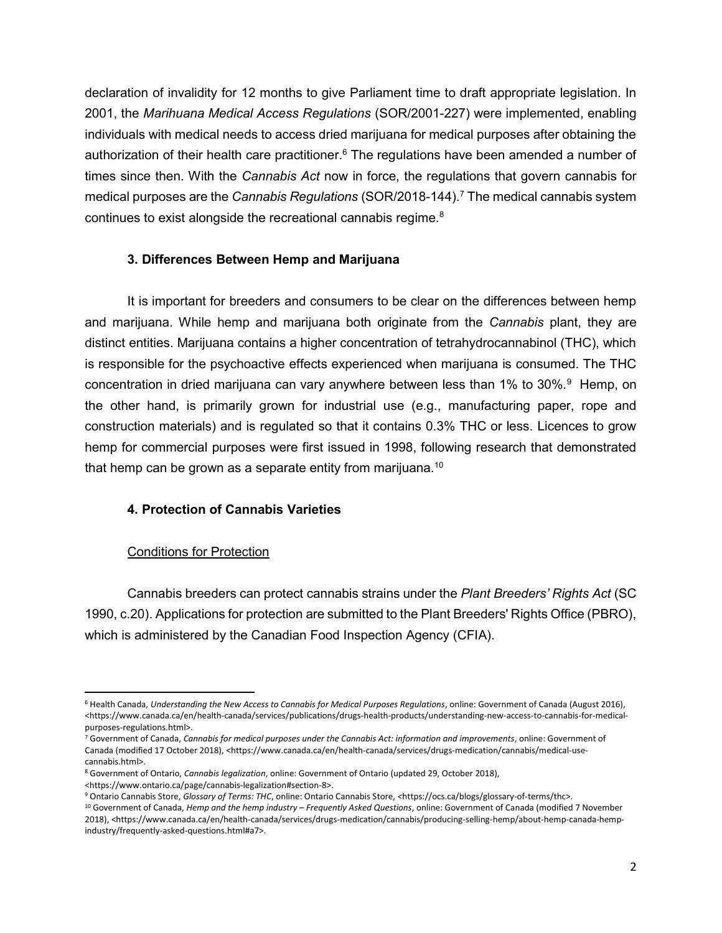declaration of invalidity for 12 months to give Parliament time to draft appropriate legislation. In 2001, the Marihuana Medical Access Regulations (SOR/2001-227) were implemented, enabling individuals with medical needs to access dried marijuana for medical purposes after obtaining the authorization of their health care practitioner.<sup>6</sup> The regulations have been amended a number of times since then. With the *Cannabis Act* now in force, the regulations that govern cannabis for medical purposes are the Cannabis Regulations (SOR/2018-144).<sup>7</sup> The medical cannabis system continues to exist alongside the recreational cannabis regime.<sup>8</sup>

## 3. Differences Between Hemp and Marijuana

It is important for breeders and consumers to be clear on the differences between hemp and marijuana. While hemp and marijuana both originate from the *Cannabis* plant, they are distinct entities. Marijuana contains a higher concentration of tetrahydrocannabinol (THC), which is responsible for the psychoactive effects experienced when marijuana is consumed. The THC concentration in dried marijuana can vary anywhere between less than 1% to 30%.<sup>9</sup> Hemp, on the other hand, is primarily grown for industrial use (e.g., manufacturing paper, rope and construction materials) and is regulated so that it contains 0.3% THC or less. Licences to grow hemp for commercial purposes were first issued in 1998, following research that demonstrated that hemp can be grown as a separate entity from marijuana.<sup>10</sup>

## 4. Protection of Cannabis Varieties

## Conditions for Protection

Cannabis breeders can protect cannabis strains under the Plant Breeders' Rights Act (SC 1990, c.20). Applications for protection are submitted to the Plant Breeders' Rights Office (PBRO), which is administered by the Canadian Food Inspection Agency (CFIA).

<sup>&</sup>lt;sup>6</sup> Health Canada, Understanding the New Access to Cannabis for Medical Purposes Regulations, online: Government of Canada (August 2016), <https://www.canada.ca/en/health-canada/services/publications/drugs-health-products/understanding-new-access-to-cannabis-for-medicalpurposes-regulations.html>.

<sup>&</sup>lt;sup>7</sup> Government of Canada, Cannabis for medical purposes under the Cannabis Act: information and improvements, online: Government of Canada (modified 17 October 2018), <https://www.canada.ca/en/health-canada/services/drugs-medication/cannabis/medical-usecannabis.html>.

<sup>&</sup>lt;sup>8</sup> Government of Ontario, Cannabis legalization, online: Government of Ontario (updated 29, October 2018), <https://www.ontario.ca/page/cannabis-legalization#section-8>.

<sup>&</sup>lt;sup>9</sup> Ontario Cannabis Store, Glossary of Terms: THC, online: Ontario Cannabis Store, <https://ocs.ca/blogs/glossary-of-terms/thc>.

 $10$  Government of Canada, Hemp and the hemp industry – Frequently Asked Questions, online: Government of Canada (modified 7 November 2018), <https://www.canada.ca/en/health-canada/services/drugs-medication/cannabis/producing-selling-hemp/about-hemp-canada-hempindustry/frequently-asked-questions.html#a7>.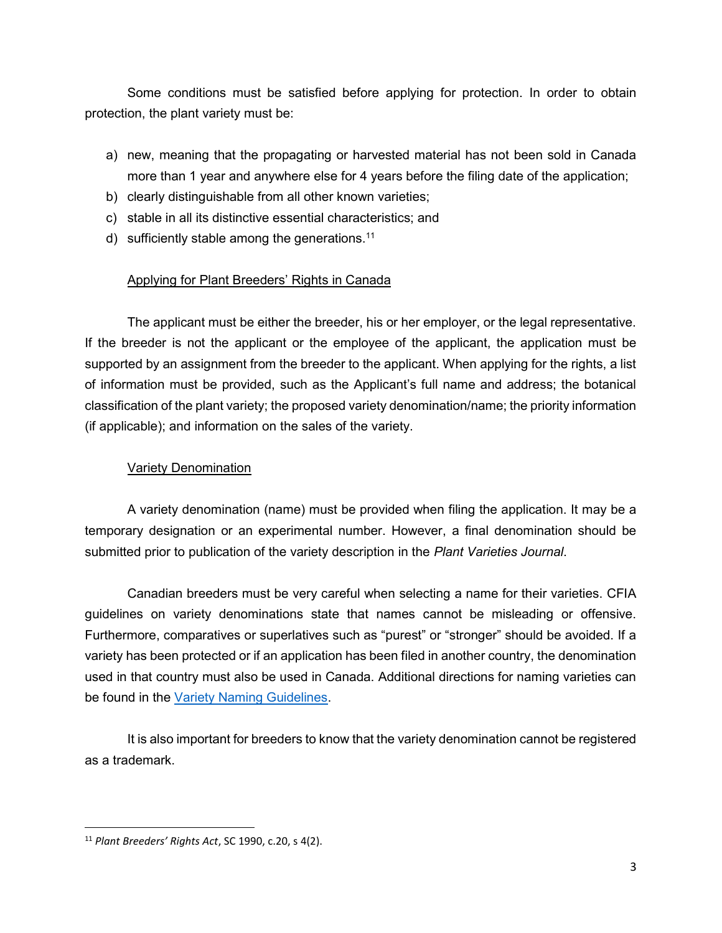Some conditions must be satisfied before applying for protection. In order to obtain protection, the plant variety must be:

- a) new, meaning that the propagating or harvested material has not been sold in Canada more than 1 year and anywhere else for 4 years before the filing date of the application;
- b) clearly distinguishable from all other known varieties;
- c) stable in all its distinctive essential characteristics; and
- d) sufficiently stable among the generations.<sup>11</sup>

## Applying for Plant Breeders' Rights in Canada

The applicant must be either the breeder, his or her employer, or the legal representative. If the breeder is not the applicant or the employee of the applicant, the application must be supported by an assignment from the breeder to the applicant. When applying for the rights, a list of information must be provided, such as the Applicant's full name and address; the botanical classification of the plant variety; the proposed variety denomination/name; the priority information (if applicable); and information on the sales of the variety.

## Variety Denomination

A variety denomination (name) must be provided when filing the application. It may be a temporary designation or an experimental number. However, a final denomination should be submitted prior to publication of the variety description in the Plant Varieties Journal.

Canadian breeders must be very careful when selecting a name for their varieties. CFIA guidelines on variety denominations state that names cannot be misleading or offensive. Furthermore, comparatives or superlatives such as "purest" or "stronger" should be avoided. If a variety has been protected or if an application has been filed in another country, the denomination used in that country must also be used in Canada. Additional directions for naming varieties can be found in the Variety Naming Guidelines.

It is also important for breeders to know that the variety denomination cannot be registered as a trademark.

<sup>11</sup> Plant Breeders' Rights Act, SC 1990, c.20, s 4(2).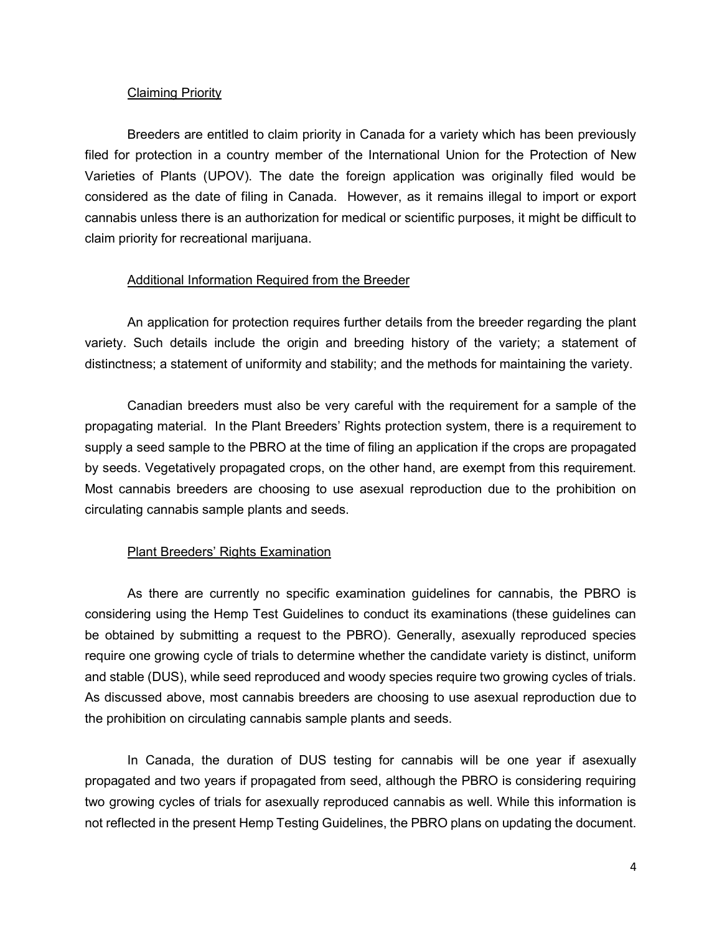#### Claiming Priority

Breeders are entitled to claim priority in Canada for a variety which has been previously filed for protection in a country member of the International Union for the Protection of New Varieties of Plants (UPOV). The date the foreign application was originally filed would be considered as the date of filing in Canada. However, as it remains illegal to import or export cannabis unless there is an authorization for medical or scientific purposes, it might be difficult to claim priority for recreational marijuana.

#### Additional Information Required from the Breeder

An application for protection requires further details from the breeder regarding the plant variety. Such details include the origin and breeding history of the variety; a statement of distinctness; a statement of uniformity and stability; and the methods for maintaining the variety.

Canadian breeders must also be very careful with the requirement for a sample of the propagating material. In the Plant Breeders' Rights protection system, there is a requirement to supply a seed sample to the PBRO at the time of filing an application if the crops are propagated by seeds. Vegetatively propagated crops, on the other hand, are exempt from this requirement. Most cannabis breeders are choosing to use asexual reproduction due to the prohibition on circulating cannabis sample plants and seeds.

### Plant Breeders' Rights Examination

 As there are currently no specific examination guidelines for cannabis, the PBRO is considering using the Hemp Test Guidelines to conduct its examinations (these guidelines can be obtained by submitting a request to the PBRO). Generally, asexually reproduced species require one growing cycle of trials to determine whether the candidate variety is distinct, uniform and stable (DUS), while seed reproduced and woody species require two growing cycles of trials. As discussed above, most cannabis breeders are choosing to use asexual reproduction due to the prohibition on circulating cannabis sample plants and seeds.

In Canada, the duration of DUS testing for cannabis will be one year if asexually propagated and two years if propagated from seed, although the PBRO is considering requiring two growing cycles of trials for asexually reproduced cannabis as well. While this information is not reflected in the present Hemp Testing Guidelines, the PBRO plans on updating the document.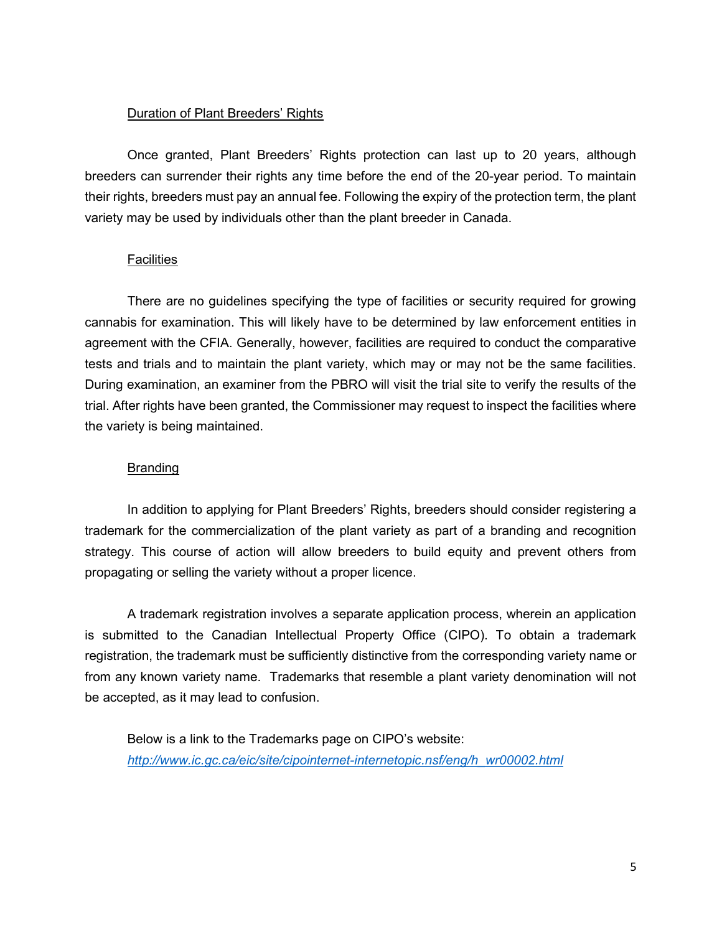### Duration of Plant Breeders' Rights

Once granted, Plant Breeders' Rights protection can last up to 20 years, although breeders can surrender their rights any time before the end of the 20-year period. To maintain their rights, breeders must pay an annual fee. Following the expiry of the protection term, the plant variety may be used by individuals other than the plant breeder in Canada.

#### **Facilities**

There are no guidelines specifying the type of facilities or security required for growing cannabis for examination. This will likely have to be determined by law enforcement entities in agreement with the CFIA. Generally, however, facilities are required to conduct the comparative tests and trials and to maintain the plant variety, which may or may not be the same facilities. During examination, an examiner from the PBRO will visit the trial site to verify the results of the trial. After rights have been granted, the Commissioner may request to inspect the facilities where the variety is being maintained.

### Branding

In addition to applying for Plant Breeders' Rights, breeders should consider registering a trademark for the commercialization of the plant variety as part of a branding and recognition strategy. This course of action will allow breeders to build equity and prevent others from propagating or selling the variety without a proper licence.

A trademark registration involves a separate application process, wherein an application is submitted to the Canadian Intellectual Property Office (CIPO). To obtain a trademark registration, the trademark must be sufficiently distinctive from the corresponding variety name or from any known variety name. Trademarks that resemble a plant variety denomination will not be accepted, as it may lead to confusion.

Below is a link to the Trademarks page on CIPO's website: http://www.ic.gc.ca/eic/site/cipointernet-internetopic.nsf/eng/h\_wr00002.html